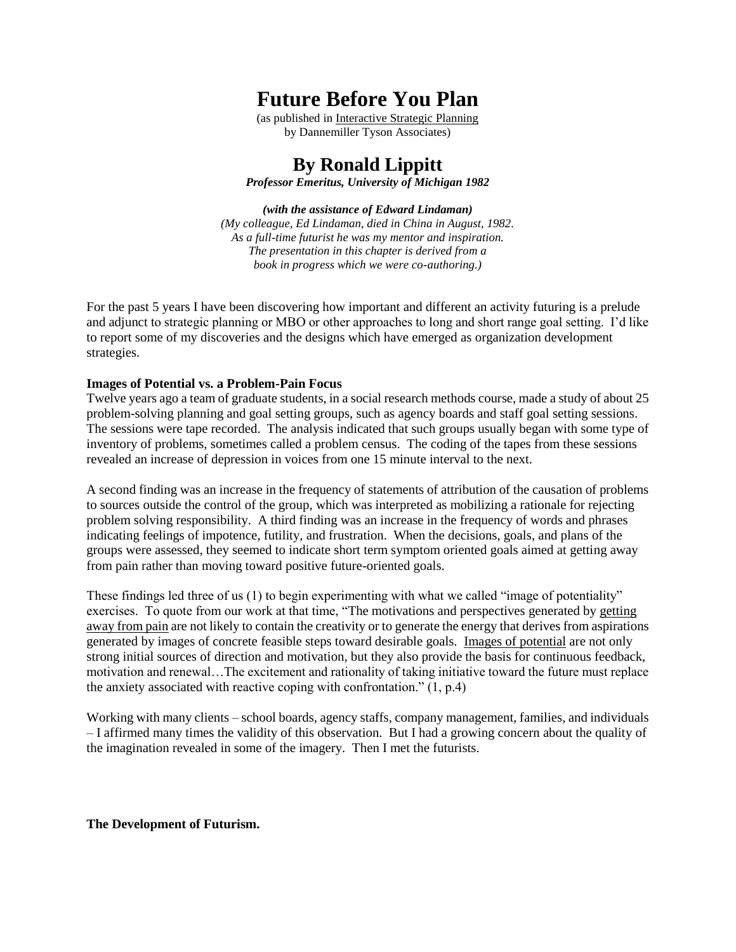# **Future Before You Plan**

(as published in Interactive Strategic Planning by Dannemiller Tyson Associates)

**By Ronald Lippitt**

*Professor Emeritus, University of Michigan 1982*

*(with the assistance of Edward Lindaman) (My colleague, Ed Lindaman, died in China in August, 1982. As a full-time futurist he was my mentor and inspiration. The presentation in this chapter is derived from a book in progress which we were co-authoring.)*

For the past 5 years I have been discovering how important and different an activity futuring is a prelude and adjunct to strategic planning or MBO or other approaches to long and short range goal setting. I'd like to report some of my discoveries and the designs which have emerged as organization development strategies.

#### **Images of Potential vs. a Problem-Pain Focus**

Twelve years ago a team of graduate students, in a social research methods course, made a study of about 25 problem-solving planning and goal setting groups, such as agency boards and staff goal setting sessions. The sessions were tape recorded. The analysis indicated that such groups usually began with some type of inventory of problems, sometimes called a problem census. The coding of the tapes from these sessions revealed an increase of depression in voices from one 15 minute interval to the next.

A second finding was an increase in the frequency of statements of attribution of the causation of problems to sources outside the control of the group, which was interpreted as mobilizing a rationale for rejecting problem solving responsibility. A third finding was an increase in the frequency of words and phrases indicating feelings of impotence, futility, and frustration. When the decisions, goals, and plans of the groups were assessed, they seemed to indicate short term symptom oriented goals aimed at getting away from pain rather than moving toward positive future-oriented goals.

These findings led three of us (1) to begin experimenting with what we called "image of potentiality" exercises. To quote from our work at that time, "The motivations and perspectives generated by getting away from pain are not likely to contain the creativity or to generate the energy that derives from aspirations generated by images of concrete feasible steps toward desirable goals. Images of potential are not only strong initial sources of direction and motivation, but they also provide the basis for continuous feedback, motivation and renewal…The excitement and rationality of taking initiative toward the future must replace the anxiety associated with reactive coping with confrontation." (1, p.4)

Working with many clients – school boards, agency staffs, company management, families, and individuals – I affirmed many times the validity of this observation. But I had a growing concern about the quality of the imagination revealed in some of the imagery. Then I met the futurists.

#### **The Development of Futurism.**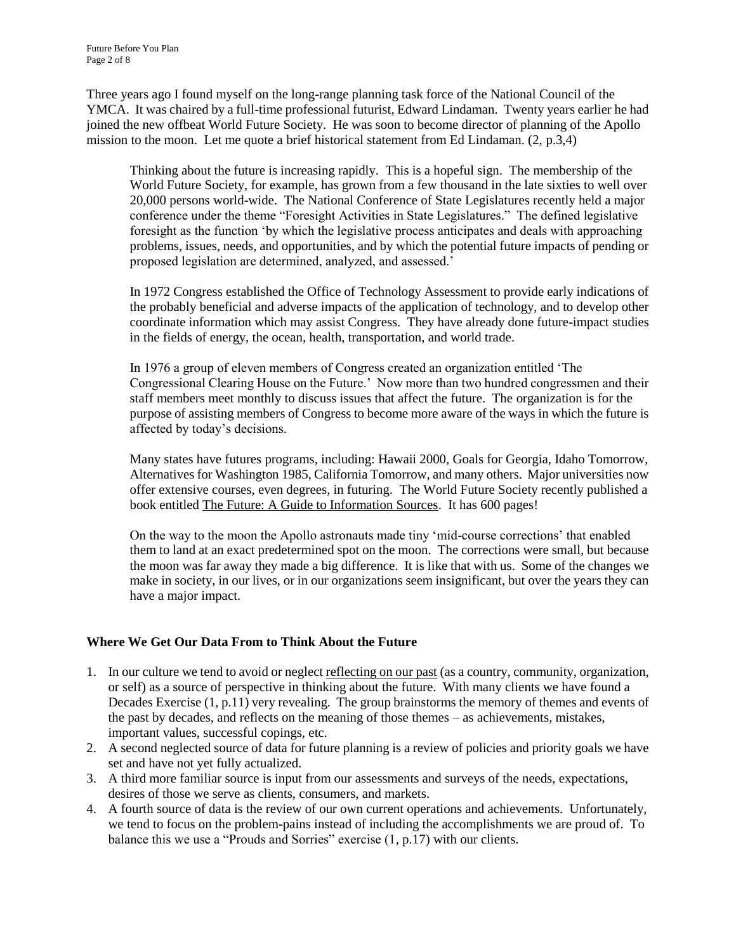Three years ago I found myself on the long-range planning task force of the National Council of the YMCA. It was chaired by a full-time professional futurist, Edward Lindaman. Twenty years earlier he had joined the new offbeat World Future Society. He was soon to become director of planning of the Apollo mission to the moon. Let me quote a brief historical statement from Ed Lindaman. (2, p.3,4)

Thinking about the future is increasing rapidly. This is a hopeful sign. The membership of the World Future Society, for example, has grown from a few thousand in the late sixties to well over 20,000 persons world-wide. The National Conference of State Legislatures recently held a major conference under the theme "Foresight Activities in State Legislatures." The defined legislative foresight as the function 'by which the legislative process anticipates and deals with approaching problems, issues, needs, and opportunities, and by which the potential future impacts of pending or proposed legislation are determined, analyzed, and assessed.'

In 1972 Congress established the Office of Technology Assessment to provide early indications of the probably beneficial and adverse impacts of the application of technology, and to develop other coordinate information which may assist Congress. They have already done future-impact studies in the fields of energy, the ocean, health, transportation, and world trade.

In 1976 a group of eleven members of Congress created an organization entitled 'The Congressional Clearing House on the Future.' Now more than two hundred congressmen and their staff members meet monthly to discuss issues that affect the future. The organization is for the purpose of assisting members of Congress to become more aware of the ways in which the future is affected by today's decisions.

Many states have futures programs, including: Hawaii 2000, Goals for Georgia, Idaho Tomorrow, Alternatives for Washington 1985, California Tomorrow, and many others. Major universities now offer extensive courses, even degrees, in futuring. The World Future Society recently published a book entitled The Future: A Guide to Information Sources. It has 600 pages!

On the way to the moon the Apollo astronauts made tiny 'mid-course corrections' that enabled them to land at an exact predetermined spot on the moon. The corrections were small, but because the moon was far away they made a big difference. It is like that with us. Some of the changes we make in society, in our lives, or in our organizations seem insignificant, but over the years they can have a major impact.

# **Where We Get Our Data From to Think About the Future**

- 1. In our culture we tend to avoid or neglect reflecting on our past (as a country, community, organization, or self) as a source of perspective in thinking about the future. With many clients we have found a Decades Exercise (1, p.11) very revealing. The group brainstorms the memory of themes and events of the past by decades, and reflects on the meaning of those themes – as achievements, mistakes, important values, successful copings, etc.
- 2. A second neglected source of data for future planning is a review of policies and priority goals we have set and have not yet fully actualized.
- 3. A third more familiar source is input from our assessments and surveys of the needs, expectations, desires of those we serve as clients, consumers, and markets.
- 4. A fourth source of data is the review of our own current operations and achievements. Unfortunately, we tend to focus on the problem-pains instead of including the accomplishments we are proud of. To balance this we use a "Prouds and Sorries" exercise (1, p.17) with our clients.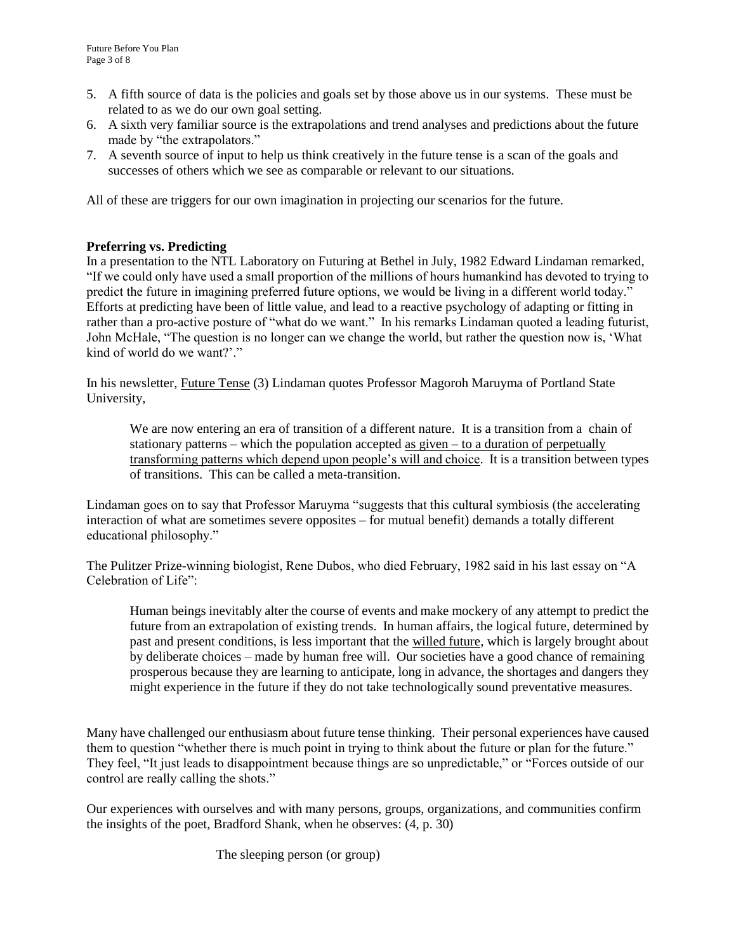- 5. A fifth source of data is the policies and goals set by those above us in our systems. These must be related to as we do our own goal setting.
- 6. A sixth very familiar source is the extrapolations and trend analyses and predictions about the future made by "the extrapolators."
- 7. A seventh source of input to help us think creatively in the future tense is a scan of the goals and successes of others which we see as comparable or relevant to our situations.

All of these are triggers for our own imagination in projecting our scenarios for the future.

## **Preferring vs. Predicting**

In a presentation to the NTL Laboratory on Futuring at Bethel in July, 1982 Edward Lindaman remarked, "If we could only have used a small proportion of the millions of hours humankind has devoted to trying to predict the future in imagining preferred future options, we would be living in a different world today." Efforts at predicting have been of little value, and lead to a reactive psychology of adapting or fitting in rather than a pro-active posture of "what do we want." In his remarks Lindaman quoted a leading futurist, John McHale, "The question is no longer can we change the world, but rather the question now is, 'What kind of world do we want?'."

In his newsletter, Future Tense (3) Lindaman quotes Professor Magoroh Maruyma of Portland State University,

We are now entering an era of transition of a different nature. It is a transition from a chain of stationary patterns – which the population accepted as given – to a duration of perpetually transforming patterns which depend upon people's will and choice. It is a transition between types of transitions. This can be called a meta-transition.

Lindaman goes on to say that Professor Maruyma "suggests that this cultural symbiosis (the accelerating interaction of what are sometimes severe opposites – for mutual benefit) demands a totally different educational philosophy."

The Pulitzer Prize-winning biologist, Rene Dubos, who died February, 1982 said in his last essay on "A Celebration of Life":

Human beings inevitably alter the course of events and make mockery of any attempt to predict the future from an extrapolation of existing trends. In human affairs, the logical future, determined by past and present conditions, is less important that the willed future, which is largely brought about by deliberate choices – made by human free will. Our societies have a good chance of remaining prosperous because they are learning to anticipate, long in advance, the shortages and dangers they might experience in the future if they do not take technologically sound preventative measures.

Many have challenged our enthusiasm about future tense thinking. Their personal experiences have caused them to question "whether there is much point in trying to think about the future or plan for the future." They feel, "It just leads to disappointment because things are so unpredictable," or "Forces outside of our control are really calling the shots."

Our experiences with ourselves and with many persons, groups, organizations, and communities confirm the insights of the poet, Bradford Shank, when he observes: (4, p. 30)

The sleeping person (or group)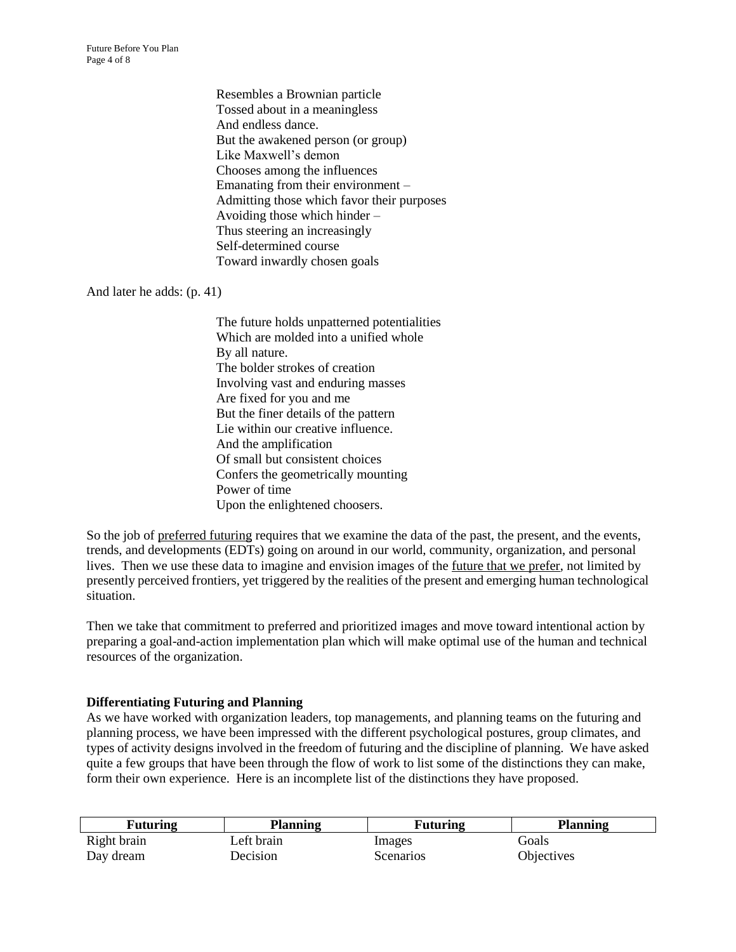Future Before You Plan Page 4 of 8

> Resembles a Brownian particle Tossed about in a meaningless And endless dance. But the awakened person (or group) Like Maxwell's demon Chooses among the influences Emanating from their environment – Admitting those which favor their purposes Avoiding those which hinder – Thus steering an increasingly Self-determined course Toward inwardly chosen goals

#### And later he adds: (p. 41)

The future holds unpatterned potentialities Which are molded into a unified whole By all nature. The bolder strokes of creation Involving vast and enduring masses Are fixed for you and me But the finer details of the pattern Lie within our creative influence. And the amplification Of small but consistent choices Confers the geometrically mounting Power of time Upon the enlightened choosers.

So the job of preferred futuring requires that we examine the data of the past, the present, and the events, trends, and developments (EDTs) going on around in our world, community, organization, and personal lives. Then we use these data to imagine and envision images of the future that we prefer, not limited by presently perceived frontiers, yet triggered by the realities of the present and emerging human technological situation.

Then we take that commitment to preferred and prioritized images and move toward intentional action by preparing a goal-and-action implementation plan which will make optimal use of the human and technical resources of the organization.

#### **Differentiating Futuring and Planning**

As we have worked with organization leaders, top managements, and planning teams on the futuring and planning process, we have been impressed with the different psychological postures, group climates, and types of activity designs involved in the freedom of futuring and the discipline of planning. We have asked quite a few groups that have been through the flow of work to list some of the distinctions they can make, form their own experience. Here is an incomplete list of the distinctions they have proposed.

| <b>Futuring</b> | Planning   | <b>Futuring</b> | <b>Planning</b>   |
|-----------------|------------|-----------------|-------------------|
| Right brain     | Left brain | Images          | Goals             |
| Day dream       | Decision   | Scenarios       | <b>Objectives</b> |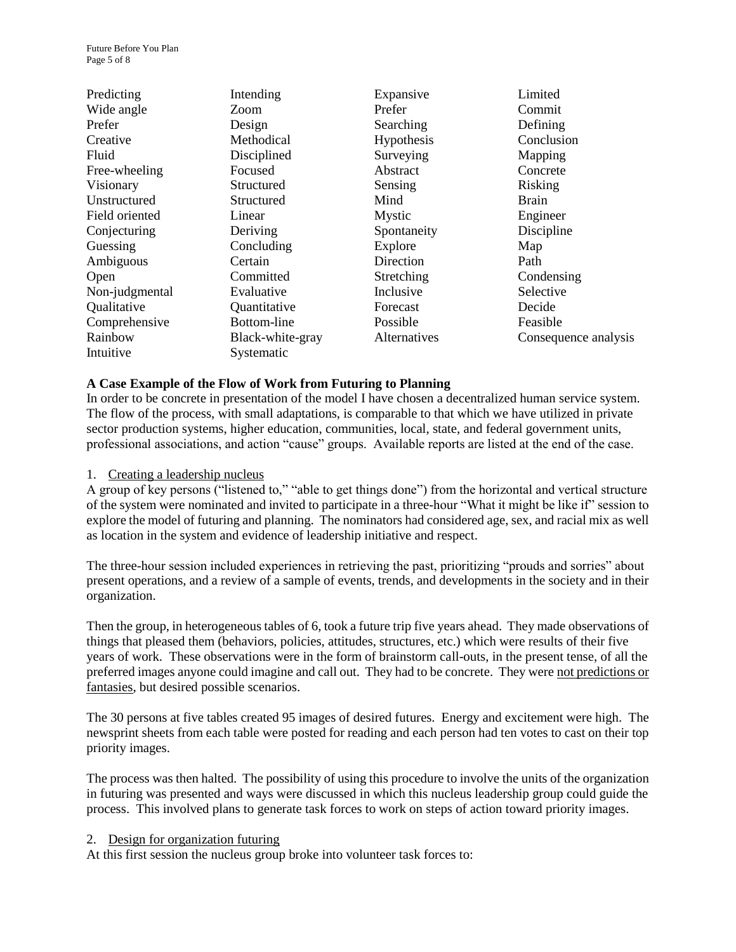| Predicting     | Intending        | Expansive           | Limited              |
|----------------|------------------|---------------------|----------------------|
| Wide angle     | Zoom             | Prefer              | Commit               |
| Prefer         | Design           | Searching           | Defining             |
| Creative       | Methodical       | Hypothesis          | Conclusion           |
| Fluid          | Disciplined      | Surveying           | Mapping              |
| Free-wheeling  | Focused          | Abstract            | Concrete             |
| Visionary      | Structured       | Sensing             | Risking              |
| Unstructured   | Structured       | Mind                | <b>Brain</b>         |
| Field oriented | Linear           | Mystic              | Engineer             |
| Conjecturing   | Deriving         | Spontaneity         | Discipline           |
| Guessing       | Concluding       | Explore             | Map                  |
| Ambiguous      | Certain          | Direction           | Path                 |
| Open           | Committed        | Stretching          | Condensing           |
| Non-judgmental | Evaluative       | Inclusive           | Selective            |
| Qualitative    | Quantitative     | Forecast            | Decide               |
| Comprehensive  | Bottom-line      | Possible            | Feasible             |
| Rainbow        | Black-white-gray | <i>Alternatives</i> | Consequence analysis |
| Intuitive      | Systematic       |                     |                      |

#### **A Case Example of the Flow of Work from Futuring to Planning**

In order to be concrete in presentation of the model I have chosen a decentralized human service system. The flow of the process, with small adaptations, is comparable to that which we have utilized in private sector production systems, higher education, communities, local, state, and federal government units, professional associations, and action "cause" groups. Available reports are listed at the end of the case.

#### 1. Creating a leadership nucleus

A group of key persons ("listened to," "able to get things done") from the horizontal and vertical structure of the system were nominated and invited to participate in a three-hour "What it might be like if" session to explore the model of futuring and planning. The nominators had considered age, sex, and racial mix as well as location in the system and evidence of leadership initiative and respect.

The three-hour session included experiences in retrieving the past, prioritizing "prouds and sorries" about present operations, and a review of a sample of events, trends, and developments in the society and in their organization.

Then the group, in heterogeneous tables of 6, took a future trip five years ahead. They made observations of things that pleased them (behaviors, policies, attitudes, structures, etc.) which were results of their five years of work. These observations were in the form of brainstorm call-outs, in the present tense, of all the preferred images anyone could imagine and call out. They had to be concrete. They were not predictions or fantasies, but desired possible scenarios.

The 30 persons at five tables created 95 images of desired futures. Energy and excitement were high. The newsprint sheets from each table were posted for reading and each person had ten votes to cast on their top priority images.

The process was then halted. The possibility of using this procedure to involve the units of the organization in futuring was presented and ways were discussed in which this nucleus leadership group could guide the process. This involved plans to generate task forces to work on steps of action toward priority images.

#### 2. Design for organization futuring

At this first session the nucleus group broke into volunteer task forces to: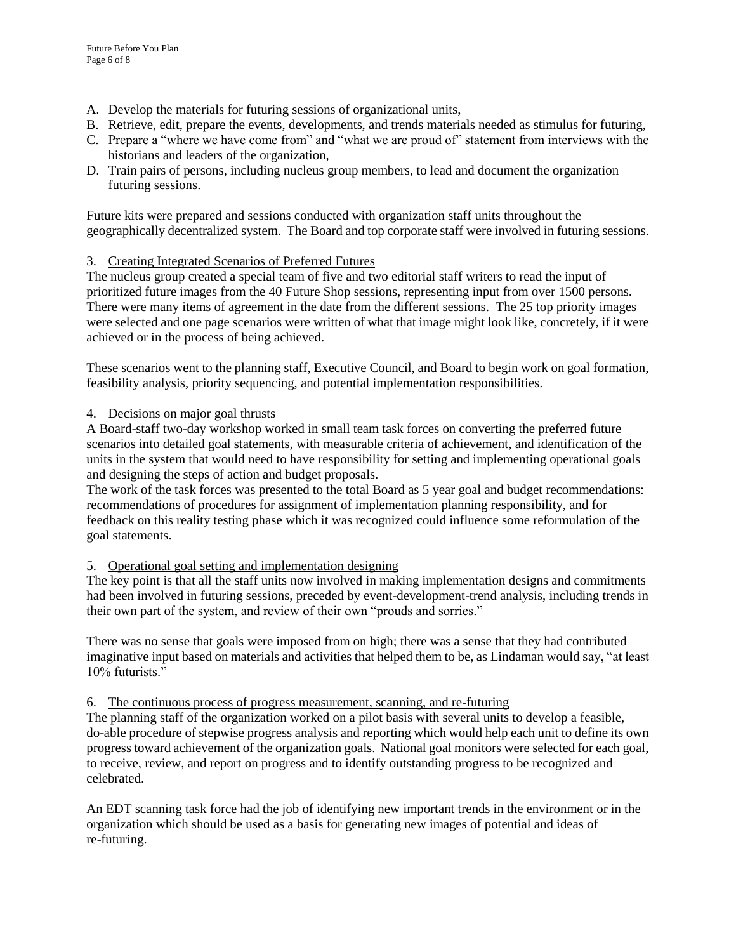- A. Develop the materials for futuring sessions of organizational units,
- B. Retrieve, edit, prepare the events, developments, and trends materials needed as stimulus for futuring,
- C. Prepare a "where we have come from" and "what we are proud of" statement from interviews with the historians and leaders of the organization,
- D. Train pairs of persons, including nucleus group members, to lead and document the organization futuring sessions.

Future kits were prepared and sessions conducted with organization staff units throughout the geographically decentralized system. The Board and top corporate staff were involved in futuring sessions.

# 3. Creating Integrated Scenarios of Preferred Futures

The nucleus group created a special team of five and two editorial staff writers to read the input of prioritized future images from the 40 Future Shop sessions, representing input from over 1500 persons. There were many items of agreement in the date from the different sessions. The 25 top priority images were selected and one page scenarios were written of what that image might look like, concretely, if it were achieved or in the process of being achieved.

These scenarios went to the planning staff, Executive Council, and Board to begin work on goal formation, feasibility analysis, priority sequencing, and potential implementation responsibilities.

# 4. Decisions on major goal thrusts

A Board-staff two-day workshop worked in small team task forces on converting the preferred future scenarios into detailed goal statements, with measurable criteria of achievement, and identification of the units in the system that would need to have responsibility for setting and implementing operational goals and designing the steps of action and budget proposals.

The work of the task forces was presented to the total Board as 5 year goal and budget recommendations: recommendations of procedures for assignment of implementation planning responsibility, and for feedback on this reality testing phase which it was recognized could influence some reformulation of the goal statements.

# 5. Operational goal setting and implementation designing

The key point is that all the staff units now involved in making implementation designs and commitments had been involved in futuring sessions, preceded by event-development-trend analysis, including trends in their own part of the system, and review of their own "prouds and sorries."

There was no sense that goals were imposed from on high; there was a sense that they had contributed imaginative input based on materials and activities that helped them to be, as Lindaman would say, "at least 10% futurists."

# 6. The continuous process of progress measurement, scanning, and re-futuring

The planning staff of the organization worked on a pilot basis with several units to develop a feasible, do-able procedure of stepwise progress analysis and reporting which would help each unit to define its own progress toward achievement of the organization goals. National goal monitors were selected for each goal, to receive, review, and report on progress and to identify outstanding progress to be recognized and celebrated.

An EDT scanning task force had the job of identifying new important trends in the environment or in the organization which should be used as a basis for generating new images of potential and ideas of re-futuring.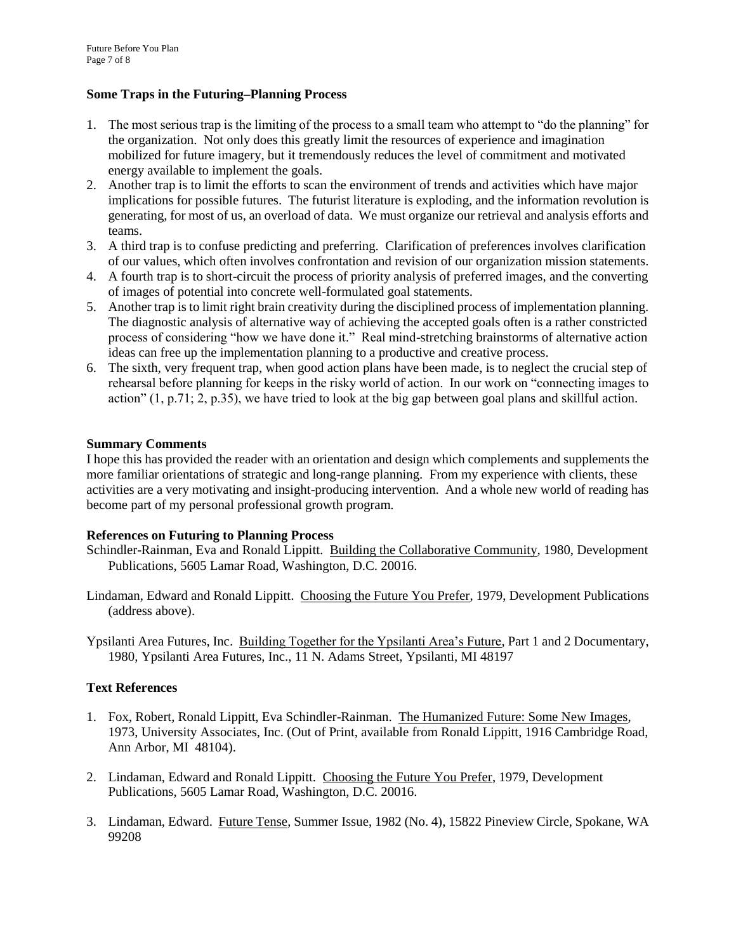### **Some Traps in the Futuring–Planning Process**

- 1. The most serious trap is the limiting of the process to a small team who attempt to "do the planning" for the organization. Not only does this greatly limit the resources of experience and imagination mobilized for future imagery, but it tremendously reduces the level of commitment and motivated energy available to implement the goals.
- 2. Another trap is to limit the efforts to scan the environment of trends and activities which have major implications for possible futures. The futurist literature is exploding, and the information revolution is generating, for most of us, an overload of data. We must organize our retrieval and analysis efforts and teams.
- 3. A third trap is to confuse predicting and preferring. Clarification of preferences involves clarification of our values, which often involves confrontation and revision of our organization mission statements.
- 4. A fourth trap is to short-circuit the process of priority analysis of preferred images, and the converting of images of potential into concrete well-formulated goal statements.
- 5. Another trap is to limit right brain creativity during the disciplined process of implementation planning. The diagnostic analysis of alternative way of achieving the accepted goals often is a rather constricted process of considering "how we have done it." Real mind-stretching brainstorms of alternative action ideas can free up the implementation planning to a productive and creative process.
- 6. The sixth, very frequent trap, when good action plans have been made, is to neglect the crucial step of rehearsal before planning for keeps in the risky world of action. In our work on "connecting images to action" (1, p.71; 2, p.35), we have tried to look at the big gap between goal plans and skillful action.

## **Summary Comments**

I hope this has provided the reader with an orientation and design which complements and supplements the more familiar orientations of strategic and long-range planning. From my experience with clients, these activities are a very motivating and insight-producing intervention. And a whole new world of reading has become part of my personal professional growth program.

#### **References on Futuring to Planning Process**

Schindler-Rainman, Eva and Ronald Lippitt. Building the Collaborative Community, 1980, Development Publications, 5605 Lamar Road, Washington, D.C. 20016.

Lindaman, Edward and Ronald Lippitt. Choosing the Future You Prefer, 1979, Development Publications (address above).

Ypsilanti Area Futures, Inc. Building Together for the Ypsilanti Area's Future, Part 1 and 2 Documentary, 1980, Ypsilanti Area Futures, Inc., 11 N. Adams Street, Ypsilanti, MI 48197

# **Text References**

- 1. Fox, Robert, Ronald Lippitt, Eva Schindler-Rainman. The Humanized Future: Some New Images, 1973, University Associates, Inc. (Out of Print, available from Ronald Lippitt, 1916 Cambridge Road, Ann Arbor, MI 48104).
- 2. Lindaman, Edward and Ronald Lippitt. Choosing the Future You Prefer, 1979, Development Publications, 5605 Lamar Road, Washington, D.C. 20016.
- 3. Lindaman, Edward. Future Tense, Summer Issue, 1982 (No. 4), 15822 Pineview Circle, Spokane, WA 99208